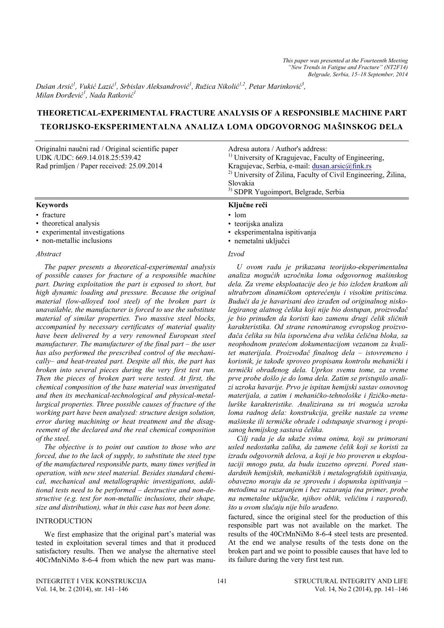*Dušan Arsić 1 , Vukić Lazić 1 , Srbislav Aleksandrović 1 , Ružica Nikolić 1,2, Petar Marinković 3 , Milan Đorđević 1 , Nada Ratković 1* 

# **THEORETICAL-EXPERIMENTAL FRACTURE ANALYSIS OF A RESPONSIBLE MACHINE PART TEORIJSKO-EKSPERIMENTALNA ANALIZA LOMA ODGOVORNOG MAŠINSKOG DELA**

| Originalni naučni rad / Original scientific paper<br>UDK/UDC: 669.14.018.25:539.42<br>Rad primljen / Paper received: 25.09.2014 | Adresa autora / Author's address:<br><sup>1)</sup> University of Kragujevac, Faculty of Engineering,<br>Kragujevac, Serbia, e-mail: dusan.arsic@fink.rs<br><sup>2)</sup> University of Žilina, Faculty of Civil Engineering, Žilina,<br>Slovakia<br><sup>3)</sup> SDPR Yugoimport, Belgrade, Serbia |
|---------------------------------------------------------------------------------------------------------------------------------|-----------------------------------------------------------------------------------------------------------------------------------------------------------------------------------------------------------------------------------------------------------------------------------------------------|
| <b>Keywords</b>                                                                                                                 | Ključne reči                                                                                                                                                                                                                                                                                        |
| • fracture                                                                                                                      | $\cdot$ lom                                                                                                                                                                                                                                                                                         |
| • theoretical analysis                                                                                                          | • teorijska analiza                                                                                                                                                                                                                                                                                 |
| • experimental investigations                                                                                                   | • eksperimentalna ispitivanja                                                                                                                                                                                                                                                                       |

• non-metallic inclusions

### *Abstract*

*The paper presents a theoretical-experimental analysis of possible causes for fracture of a responsible machine part. During exploitation the part is exposed to short, but high dynamic loading and pressure. Because the original material (low-alloyed tool steel) of the broken part is unavailable, the manufacturer is forced to use the substitute material of similar properties. Two massive steel blocks, accompanied by necessary certificates of material quality have been delivered by a very renowned European steel manufacturer. The manufacturer of the final part – the user has also performed the prescribed control of the mechanically– and heat-treated part. Despite all this, the part has broken into several pieces during the very first test run. Then the pieces of broken part were tested. At first, the chemical composition of the base material was investigated and then its mechanical-technological and physical-metallurgical properties. Three possible causes of fracture of the working part have been analysed: structure design solution, error during machining or heat treatment and the disagreement of the declared and the real chemical composition of the steel.* 

*The objective is to point out caution to those who are forced, due to the lack of supply, to substitute the steel type of the manufactured responsible parts, many times verified in operation, with new steel material. Besides standard chemical, mechanical and metallographic investigations, additional tests need to be performed – destructive and non-destructive (e.g. test for non-metallic inclusions, their shape, size and distribution), what in this case has not been done.* 

# INTRODUCTION

We first emphasize that the original part's material was tested in exploitation several times and that it produced satisfactory results. Then we analyse the alternative steel 40CrMnNiMo 8-6-4 from which the new part was manu-

#### *Izvod*

• nemetalni uključci

*U ovom radu je prikazana teorijsko-eksperimentalna analiza mogućih uzročnika loma odgovornog mašinskog dela. Za vreme eksploatacije deo je bio izložen kratkom ali ultrabrzom dinamičkom opterećenju i visokim pritiscima. Budući da je havarisani deo izrađen od originalnog niskolegiranog alatnog čelika koji nije bio dostupan, proizvođač je bio prinuđen da koristi kao zamenu drugi čelik sličnih karakteristika. Od strane renomiranog evropskog proizvođača čelika su bila isporučena dva velika čelična bloka, sa neophodnom pratećom dokumentacijom vezanom za kvalitet materijala. Proizvođač finalnog dela – istovremeno i korisnik, je takođe sproveo propisanu kontrolu mehanički i termički obrađenog dela. Uprkos svemu tome, za vreme prve probe došlo je do loma dela. Zatim se pristupilo analizi uzroka havarije. Prvo je ispitan hemijski sastav osnovnog materijala, a zatim i mehaničko-tehnološke i fizičko-metalurške karakteristike. Analizirana su tri moguća uzroka loma radnog dela: konstrukcija, greške nastale za vreme mašinske ili termičke obrade i odstupanje stvarnog i propisanog hemijskog sastava čelika.* 

*Cilj rada je da ukaže svima onima, koji su primorani usled nedostatka zaliha, da zamene čelik koji se koristi za izradu odgovornih delova, a koji je bio proveren u eksploataciji mnogo puta, da budu izuzetno oprezni. Pored standardnih hemijskih, mehaničkih i metalografskih ispitivanja, obavezno moraju da se sprovedu i dopunska ispitivanja – metodima sa razaranjem i bez razaranja (na primer, probe na nemetalne uključke, njihov oblik, veličinu i raspored), što u ovom slučaju nije bilo urađeno.* 

factured, since the original steel for the production of this responsible part was not available on the market. The results of the 40CrMnNiMo 8-6-4 steel tests are presented. At the end we analyse results of the tests done on the broken part and we point to possible causes that have led to its failure during the very first test run.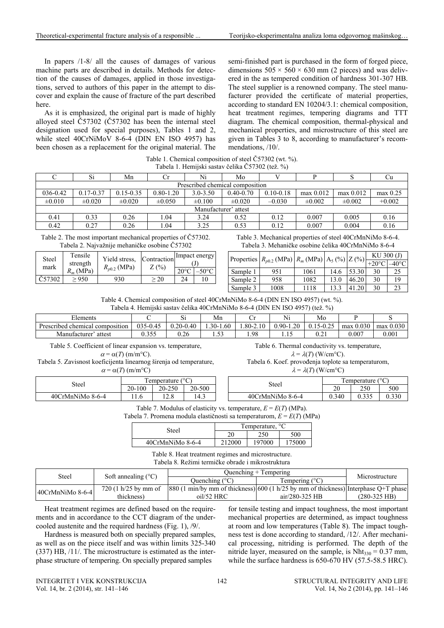In papers /1-8/ all the causes of damages of various machine parts are described in details. Methods for detection of the causes of damages, applied in those investigations, served to authors of this paper in the attempt to discover and explain the cause of fracture of the part described here.

As it is emphasized, the original part is made of highly alloyed steel Č57302 (Č57302 has been the internal steel designation used for special purposes), Tables 1 and 2, while steel 40CrNiMoV 8-6-4 (DIN EN ISO 4957) has been chosen as a replacement for the original material. The semi-finished part is purchased in the form of forged piece, dimensions  $505 \times 560 \times 630$  mm (2 pieces) and was delivered in the as tempered condition of hardness 301-307 HB. The steel supplier is a renowned company. The steel manufacturer provided the certificate of material properties, according to standard EN 10204/3.1: chemical composition, heat treatment regimes, tempering diagrams and TTT diagram. The chemical composition, thermal-physical and mechanical properties, and microstructure of this steel are given in Tables 3 to 8, according to manufacturer's recommendations, /10/.

| Table 1. Chemical composition of steel Č57302 (wt. %). |  |
|--------------------------------------------------------|--|
| Tabela 1. Hemijski sastav čelika Č57302 (tež. %)       |  |

|                                 | Si            | Mn            | Ů             | Ni                   | Mo            |               |             |             | Ωu         |  |  |
|---------------------------------|---------------|---------------|---------------|----------------------|---------------|---------------|-------------|-------------|------------|--|--|
| Prescribed chemical composition |               |               |               |                      |               |               |             |             |            |  |  |
| 036-0.42                        | $0.17 - 0.37$ | $0.15 - 0.35$ | $0.80 - 1.20$ | $3.0 - 3.50$         | $0.40 - 0.70$ | $0.10 - 0.18$ | max 0.012   | max 0.012   | $max$ 0.25 |  |  |
| $\pm 0.010$                     | $\pm 0.020$   | $\pm 0.020$   | $\pm 0.050$   | $\pm 0.100$          | $\pm 0.020$   | $-0.030$      | $\pm 0.002$ | $\pm 0.002$ | $+0.002$   |  |  |
|                                 |               |               |               | Manufacturer' attest |               |               |             |             |            |  |  |
| 0.41                            | 0.33          | 0.26          | l.04          | 3.24                 | 0.52          | 0.12          | 0.007       | 0.005       | 0.16       |  |  |
| 0.42                            | 0.27          | 0.26          | .04           | 3.25                 | 0.53          | 0.12          | 0.007       | 0.004       | 0.16       |  |  |

Table 2. The most important mechanical properties of Č57302. Tabela 2. Najvažnije mehaničke osobine Č57302

| Steel  | Tensile<br>strength | Yield stress.    | Contraction<br>Z(%) | Impact energy |  |  |
|--------|---------------------|------------------|---------------------|---------------|--|--|
| mark   | $R_m$ (MPa)         | $R_{p0.2}$ (MPa) |                     |               |  |  |
| C57302 | $-950$              | 930              |                     | 24            |  |  |

Table 3. Mechanical properties of steel 40CrMnNiMo 8-6-4. Tabela 3. Mehaničke osobine čelika 40CrMnNiMo 8-6-4

| Properties $R_{p0.2}$ (MPa) $R_m$ (MPa) $ A_5$ (%) $ Z$ (%) |      |      |      |       | KU 300 (J) |      |  |
|-------------------------------------------------------------|------|------|------|-------|------------|------|--|
|                                                             |      |      |      |       |            | 40°C |  |
| Sample 1                                                    | 951  | 1061 | 14.6 | 53.30 | 30         | 25   |  |
| Sample 2                                                    | 958  | 1082 | 13.0 | 46.20 | 30         | 19   |  |
| Sample 3                                                    | 1008 | 1118 | 13.3 | 41.20 | 30         | 23   |  |

Table 4. Chemical composition of steel 40CrMnNiMo 8-6-4 (DIN EN ISO 4957) (wt. %). Tabela 4. Hemijski sastav čelika 40CrMnNiMo 8-6-4 (DIN EN ISO 4957) (tež. %)

|                                 |          |               |              |              | .             |               |             |           |
|---------------------------------|----------|---------------|--------------|--------------|---------------|---------------|-------------|-----------|
| ±lements ∶                      |          | ບ⊥            | Mn           |              | Ni            | Mo            |             |           |
| Prescribed chemical composition | 035-0.45 | $0.20 - 0.40$ | $.30 - 1.60$ | $.80 - 2.10$ | $0.90 - 1.20$ | $0.15 - 0.25$ | $max$ 0.030 | max 0.030 |
| Manufacturer'<br>attest         | u. ji ji | 0.26          | .            | 1.98         |               | V.A.          | 0.007       | 0.001     |

Table 5. Coefficient of linear expansion vs. temperature,  $\alpha = \alpha(T)$  (m/m<sup>o</sup>C).

Tabela 5. Zavisnost koeficijenta linearnog širenja od temperature,  $\alpha$  =  $\alpha$ (*T*) (m/m<sup>o</sup>C)

|                  | Temperature $(^{\circ}C)$ |        |        |  |  |  |
|------------------|---------------------------|--------|--------|--|--|--|
| Steel            | $20-100$                  | 20-250 | 20-500 |  |  |  |
| 40CrMnNiMo 8-6-4 | 1.6                       |        | 14.3   |  |  |  |

Table 6. Thermal conductivity vs. temperature,  $\lambda = \lambda(T)$  (W/cm<sup>o</sup>C).

Tabela 6. Koef. provođenja toplote sa temperaturom,

 $\lambda = \lambda(T)$  (W/cm°C)

| $\sim$<br>emperature |             |        | Steel            | $\sim$<br>emperature |             |       |  |
|----------------------|-------------|--------|------------------|----------------------|-------------|-------|--|
| 20-100               | 20-250      | 20-500 |                  | o۵<br>ZU             | 250         | 500   |  |
| 11.0                 | າ ດ<br>12.0 | 14.3   | 40CrMnNiMo 8-6-4 | 0.340                | 225<br>◡.◡◡ | 0.330 |  |

Table 7. Modulus of elasticity vs. temperature,  $E = E(T)$  (MPa).

Tabela 7. Promena modula elastičnosti sa temperaturom, *E* = *E*(*T*) (MPa)

| Steel                                                                 | l'emperature,<br>◡ |        |       |  |  |
|-----------------------------------------------------------------------|--------------------|--------|-------|--|--|
|                                                                       | Λr                 |        | 500   |  |  |
| $A\Omega$ <sub>r</sub> $M_{\rm B}$ $N_{\rm B}$ $A_{\rm A}$ $\Omega$ 6 | 212000             | 107000 | 75000 |  |  |

40CrMnNiMo 8-6-4 212000 197000 175000

Table 8. Heat treatment regimes and microstructure. Tabela 8. Režimi termičke obrade i mikrostruktura

| Steel            | Soft annealing $(^{\circ}C)$ |                                                                                                                                               | Ouenching $+$ Tempering | Microstructure |
|------------------|------------------------------|-----------------------------------------------------------------------------------------------------------------------------------------------|-------------------------|----------------|
|                  |                              | Ouenching (°C)                                                                                                                                | Tempering $(^{\circ}C)$ |                |
| 40CrMnNiMo 8-6-4 | $720(1 h/25)$ by mm of       | $\frac{1880}{1 \text{ min/by}}$ mm of thickness) $\frac{1600}{1 \text{ h}/25}$ by mm of thickness) $\frac{1}{1 \text{ interphase}}$ O+T phase |                         |                |
|                  | thickness)                   | oil/52 HRC                                                                                                                                    | $air/280-325$ HB        | $(280-325$ HB) |

Heat treatment regimes are defined based on the requirements and in accordance to the CCT diagram of the undercooled austenite and the required hardness (Fig. 1), /9/.

Hardness is measured both on specially prepared samples, as well as on the piece itself and was within limits 325-340 (337) HB, /11/. The microstructure is estimated as the interphase structure of tempering. On specially prepared samples

for tensile testing and impact toughness, the most important mechanical properties are determined, as impact toughness at room and low temperatures (Table 8). The impact toughness test is done according to standard, /12/. After mechanical processing, nitriding is performed. The depth of the nitride layer, measured on the sample, is  $Nht_{330} = 0.37$  mm, while the surface hardness is 650-670 HV (57.5-58.5 HRC).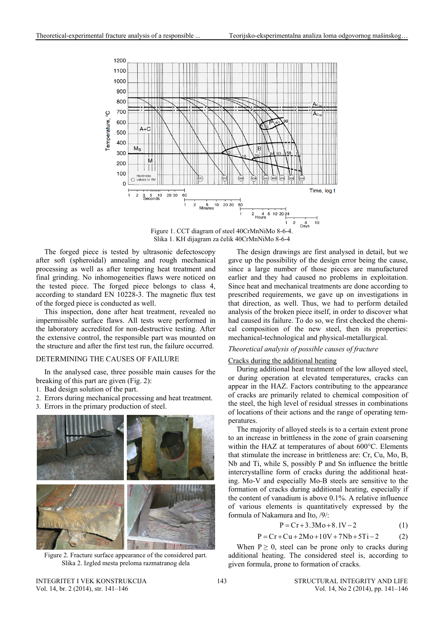

Figure 1. CCT diagram of steel 40CrMnNiMo 8-6-4. Slika 1. KH dijagram za čelik 40CrMnNiMo 8-6-4

The forged piece is tested by ultrasonic defectoscopy after soft (spheroidal) annealing and rough mechanical processing as well as after tempering heat treatment and final grinding. No inhomogeneities flaws were noticed on the tested piece. The forged piece belongs to class 4, according to standard EN 10228-3. The magnetic flux test of the forged piece is conducted as well.

This inspection, done after heat treatment, revealed no impermissible surface flaws. All tests were performed in the laboratory accredited for non-destructive testing. After the extensive control, the responsible part was mounted on the structure and after the first test run, the failure occurred.

### DETERMINING THE CAUSES OF FAILURE

In the analysed case, three possible main causes for the breaking of this part are given (Fig. 2):

- 1. Bad design solution of the part.
- 2. Errors during mechanical processing and heat treatment.
- 3. Errors in the primary production of steel.



Figure 2. Fracture surface appearance of the considered part. Slika 2. Izgled mesta preloma razmatranog dela

The design drawings are first analysed in detail, but we gave up the possibility of the design error being the cause, since a large number of those pieces are manufactured earlier and they had caused no problems in exploitation. Since heat and mechanical treatments are done according to prescribed requirements, we gave up on investigations in that direction, as well. Thus, we had to perform detailed analysis of the broken piece itself, in order to discover what had caused its failure. To do so, we first checked the chemical composition of the new steel, then its properties: mechanical-technological and physical-metallurgical.

# *Theoretical analysis of possible causes of fracture*

# Cracks during the additional heating

During additional heat treatment of the low alloyed steel, or during operation at elevated temperatures, cracks can appear in the HAZ. Factors contributing to the appearance of cracks are primarily related to chemical composition of the steel, the high level of residual stresses in combinations of locations of their actions and the range of operating temperatures.

The majority of alloyed steels is to a certain extent prone to an increase in brittleness in the zone of grain coarsening within the HAZ at temperatures of about 600°C. Elements that stimulate the increase in brittleness are: Cr, Cu, Mo, B, Nb and Ti, while S, possibly P and Sn influence the brittle intercrystalline form of cracks during the additional heating. Mo-V and especially Mo-B steels are sensitive to the formation of cracks during additional heating, especially if the content of vanadium is above 0.1%. A relative influence of various elements is quantitatively expressed by the formula of Nakamura and Ito, /9/:

$$
P = Cr + 3.3Mo + 8.1V - 2
$$
 (1)

$$
P = Cr + Cu + 2Mo + 10V + 7Nb + 5Ti - 2
$$
 (2)

When  $P \ge 0$ , steel can be prone only to cracks during additional heating. The considered steel is, according to given formula, prone to formation of cracks.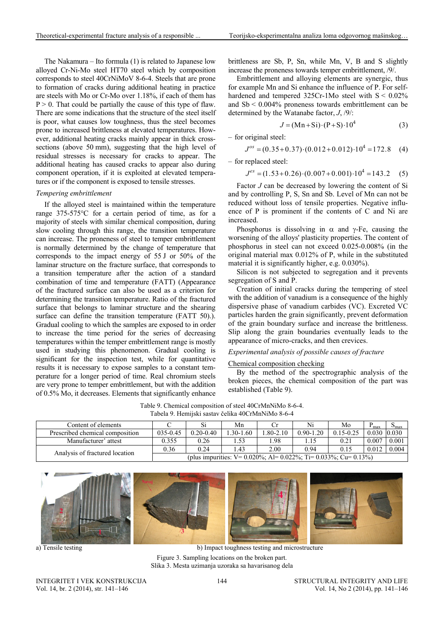The Nakamura – Ito formula (1) is related to Japanese low alloyed Cr-Ni-Mo steel HT70 steel which by composition corresponds to steel 40CrNiMoV 8-6-4. Steels that are prone to formation of cracks during additional heating in practice are steels with Mo or Cr-Mo over 1.18%, if each of them has  $P > 0$ . That could be partially the cause of this type of flaw. There are some indications that the structure of the steel itself is poor, what causes low toughness, thus the steel becomes prone to increased brittleness at elevated temperatures. However, additional heating cracks mainly appear in thick crosssections (above 50 mm), suggesting that the high level of residual stresses is necessary for cracks to appear. The additional heating has caused cracks to appear also during component operation, if it is exploited at elevated temperatures or if the component is exposed to tensile stresses.

### *Tempering embrittlement*

If the alloyed steel is maintained within the temperature range 375-575°C for a certain period of time, as for a majority of steels with similar chemical composition, during slow cooling through this range, the transition temperature can increase. The proneness of steel to temper embrittlement is normally determined by the change of temperature that corresponds to the impact energy of 55 J or 50% of the laminar structure on the fracture surface, that corresponds to a transition temperature after the action of a standard combination of time and temperature (FATT) (Appearance of the fractured surface can also be used as a criterion for determining the transition temperature. Ratio of the fractured surface that belongs to laminar structure and the shearing surface can define the transition temperature (FATT 50).). Gradual cooling to which the samples are exposed to in order to increase the time period for the series of decreasing temperatures within the temper embrittlement range is mostly used in studying this phenomenon. Gradual cooling is significant for the inspection test, while for quantitative results it is necessary to expose samples to a constant temperature for a longer period of time. Real chromium steels are very prone to temper embrittlement, but with the addition of 0.5% Mo, it decreases. Elements that significantly enhance brittleness are Sb, P, Sn, while Mn, V, B and S slightly increase the proneness towards temper embrittlement, /9/.

Embrittlement and alloying elements are synergic, thus for example Mn and Si enhance the influence of P. For selfhardened and tempered 325Cr-1Mo steel with  $S < 0.02\%$ and  $Sb < 0.004\%$  proneness towards embrittlement can be determined by the Watanabe factor, *J*, /9/:

$$
J = (Mn + Si) \cdot (P + S) \cdot 10^{4}
$$
 (3)

– for original steel:

$$
J^{os} = (0.35 + 0.37) \cdot (0.012 + 0.012) \cdot 10^4 = 172.8
$$
 (4)

– for replaced steel:

$$
J^{es} = (1.53 + 0.26) \cdot (0.007 + 0.001) \cdot 10^4 = 143.2
$$
 (5)

Factor *J* can be decreased by lowering the content of Si and by controlling P, S, Sn and Sb. Level of Mn can not be reduced without loss of tensile properties. Negative influence of P is prominent if the contents of C and Ni are increased.

Phosphorus is dissolving in  $\alpha$  and  $\gamma$ -Fe, causing the worsening of the alloys' plasticity properties. The content of phosphorus in steel can not exceed 0.025-0.008% (in the original material max 0.012% of P, while in the substituted material it is significantly higher, e.g. 0.030%).

Silicon is not subjected to segregation and it prevents segregation of S and P.

Creation of initial cracks during the tempering of steel with the addition of vanadium is a consequence of the highly dispersive phase of vanadium carbides (VC). Excreted VC particles harden the grain significantly, prevent deformation of the grain boundary surface and increase the brittleness. Slip along the grain boundaries eventually leads to the appearance of micro-cracks, and then crevices.

# *Experimental analysis of possible causes of fracture*

#### Chemical composition checking

By the method of the spectrographic analysis of the broken pieces, the chemical composition of the part was established (Table 9).

Table 9. Chemical composition of steel 40CrMnNiMo 8-6-4. Tabela 9. Hemijski sastav čelika 40CrMnNiMo 8-6-4

| Content of elements             |          |               | Mn                                                                   |              | Ni            | Mo            | - max        | $\mathbf{v}_{\text{max}}$ |
|---------------------------------|----------|---------------|----------------------------------------------------------------------|--------------|---------------|---------------|--------------|---------------------------|
| Prescribed chemical composition | 035-0.45 | $0.20 - 0.40$ | $.30 - 1.60$                                                         | $.80 - 2.10$ | $0.90 - 1.20$ | $0.15 - 0.25$ | 0.030 10.030 |                           |
| Manufacturer' attest            | 0.355    | 0.26          |                                                                      | .98          |               | 0.21          | 0.007        | 0.001                     |
| Analysis of fractured location  | 0.36     | 0.24          | $4^2$                                                                | 2.00         | 0.94          | 0.15          | 0.012        | 0.004                     |
|                                 |          |               | (plus impurities: $V = 0.020\%$ ; Al= 0.022%; Ti= 0.033%; Cu= 0.13%) |              |               |               |              |                           |



Figure 3. Sampling locations on the broken part. Slika 3. Mesta uzimanja uzoraka sa havarisanog dela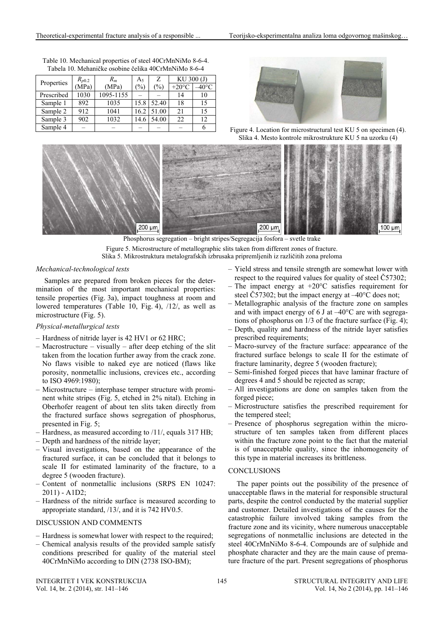| Properties | $R_{p0.2}$ | $R_m$     | A5            | Z     | KU 300 (J)      |      |
|------------|------------|-----------|---------------|-------|-----------------|------|
|            | (MPa)      | (MPa)     | $\frac{1}{2}$ | (%)   | $+20^{\circ}$ C | 40°C |
| Prescribed | 1030       | 1095-1155 |               |       | 14              | 10   |
| Sample 1   | 892        | 1035      | 15.8          | 52.40 | 18              | 15   |
| Sample 2   | 912        | 1041      | 16.2          | 51.00 | 21              | 15   |
| Sample 3   | 902        | 1032      | 14.6          | 54.00 | 22              | 12   |
| Sample 4   |            |           |               |       |                 |      |

Table 10. Mechanical properties of steel 40CrMnNiMo 8-6-4. Tabela 10. Mehaničke osobine čelika 40CrMnNiMo 8-6-4

Figure 4. Location for microstructural test KU 5 on specimen (4). Slika 4. Mesto kontrole mikrostrukture KU 5 na uzorku (4)



Figure 5. Microstructure of metallographic slits taken from different zones of fracture. Slika 5. Mikrostruktura metalografskih izbrusaka pripremljenih iz različitih zona preloma

# *Mechanical-technological tests*

Samples are prepared from broken pieces for the determination of the most important mechanical properties: tensile properties (Fig. 3a), impact toughness at room and lowered temperatures (Table 10, Fig. 4), /12/, as well as microstructure (Fig. 5).

# *Physical-metallurgical tests*

- Hardness of nitride layer is 42 HV1 or 62 HRC;
- Macrostructure visually after deep etching of the slit taken from the location further away from the crack zone. No flaws visible to naked eye are noticed (flaws like porosity, nonmetallic inclusions, crevices etc., according to ISO 4969:1980);
- Microstructure interphase temper structure with prominent white stripes (Fig. 5, etched in 2% nital). Etching in Oberhofer reagent of about ten slits taken directly from the fractured surface shows segregation of phosphorus, presented in Fig. 5;
- Hardness, as measured according to /11/, equals 317 HB;
- Depth and hardness of the nitride layer;
- Visual investigations, based on the appearance of the fractured surface, it can be concluded that it belongs to scale II for estimated laminarity of the fracture, to a degree 5 (wooden fracture).
- Content of nonmetallic inclusions [\(SRPS EN 10247:](http://www.iss.rs/standard/?national_standard_id=33101)  [2011\)](http://www.iss.rs/standard/?national_standard_id=33101) - A1D2;
- Hardness of the nitride surface is measured according to appropriate standard, /13/, and it is 742 HV0.5.

# DISCUSSION AND COMMENTS

- Hardness is somewhat lower with respect to the required;
- Chemical analysis results of the provided sample satisfy conditions prescribed for quality of the material steel 40CrMnNiMo according to DIN (2738 ISO-BM);
- Yield stress and tensile strength are somewhat lower with respect to the required values for quality of steel Č57302;
- The impact energy at  $+20^{\circ}$ C satisfies requirement for steel Č57302; but the impact energy at  $-40^{\circ}$ C does not;
- Metallographic analysis of the fracture zone on samples and with impact energy of 6 J at  $-40^{\circ}$ C are with segregations of phosphorus on 1/3 of the fracture surface (Fig. 4);
- Depth, quality and hardness of the nitride layer satisfies prescribed requirements;
- Macro-survey of the fracture surface: appearance of the fractured surface belongs to scale II for the estimate of fracture laminarity, degree 5 (wooden fracture);
- Semi-finished forged pieces that have laminar fracture of degrees 4 and 5 should be rejected as scrap;
- All investigations are done on samples taken from the forged piece;
- Microstructure satisfies the prescribed requirement for the tempered steel;
- Presence of phosphorus segregation within the microstructure of ten samples taken from different places within the fracture zone point to the fact that the material is of unacceptable quality, since the inhomogeneity of this type in material increases its brittleness.

# **CONCLUSIONS**

The paper points out the possibility of the presence of unacceptable flaws in the material for responsible structural parts, despite the control conducted by the material supplier and customer. Detailed investigations of the causes for the catastrophic failure involved taking samples from the fracture zone and its vicinity, where numerous unacceptable segregations of nonmetallic inclusions are detected in the steel 40CrMnNiMo 8-6-4. Compounds are of sulphide and phosphate character and they are the main cause of premature fracture of the part. Present segregations of phosphorus